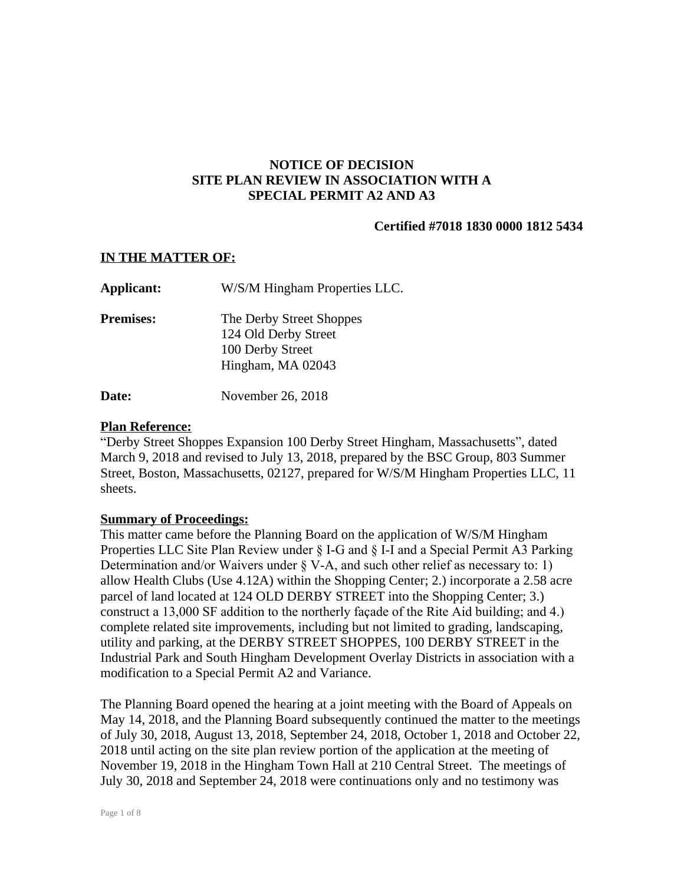## **NOTICE OF DECISION SITE PLAN REVIEW IN ASSOCIATION WITH A SPECIAL PERMIT A2 AND A3**

## **Certified #7018 1830 0000 1812 5434**

### **IN THE MATTER OF:**

| Applicant:       | W/S/M Hingham Properties LLC.                                                             |
|------------------|-------------------------------------------------------------------------------------------|
| <b>Premises:</b> | The Derby Street Shoppes<br>124 Old Derby Street<br>100 Derby Street<br>Hingham, MA 02043 |
|                  |                                                                                           |

**Date:** November 26, 2018

## **Plan Reference:**

"Derby Street Shoppes Expansion 100 Derby Street Hingham, Massachusetts", dated March 9, 2018 and revised to July 13, 2018, prepared by the BSC Group, 803 Summer Street, Boston, Massachusetts, 02127, prepared for W/S/M Hingham Properties LLC, 11 sheets.

### **Summary of Proceedings:**

This matter came before the Planning Board on the application of W/S/M Hingham Properties LLC Site Plan Review under § I-G and § I-I and a Special Permit A3 Parking Determination and/or Waivers under § V-A, and such other relief as necessary to: 1) allow Health Clubs (Use 4.12A) within the Shopping Center; 2.) incorporate a 2.58 acre parcel of land located at 124 OLD DERBY STREET into the Shopping Center; 3.) construct a 13,000 SF addition to the northerly façade of the Rite Aid building; and 4.) complete related site improvements, including but not limited to grading, landscaping, utility and parking, at the DERBY STREET SHOPPES, 100 DERBY STREET in the Industrial Park and South Hingham Development Overlay Districts in association with a modification to a Special Permit A2 and Variance.

The Planning Board opened the hearing at a joint meeting with the Board of Appeals on May 14, 2018, and the Planning Board subsequently continued the matter to the meetings of July 30, 2018, August 13, 2018, September 24, 2018, October 1, 2018 and October 22, 2018 until acting on the site plan review portion of the application at the meeting of November 19, 2018 in the Hingham Town Hall at 210 Central Street. The meetings of July 30, 2018 and September 24, 2018 were continuations only and no testimony was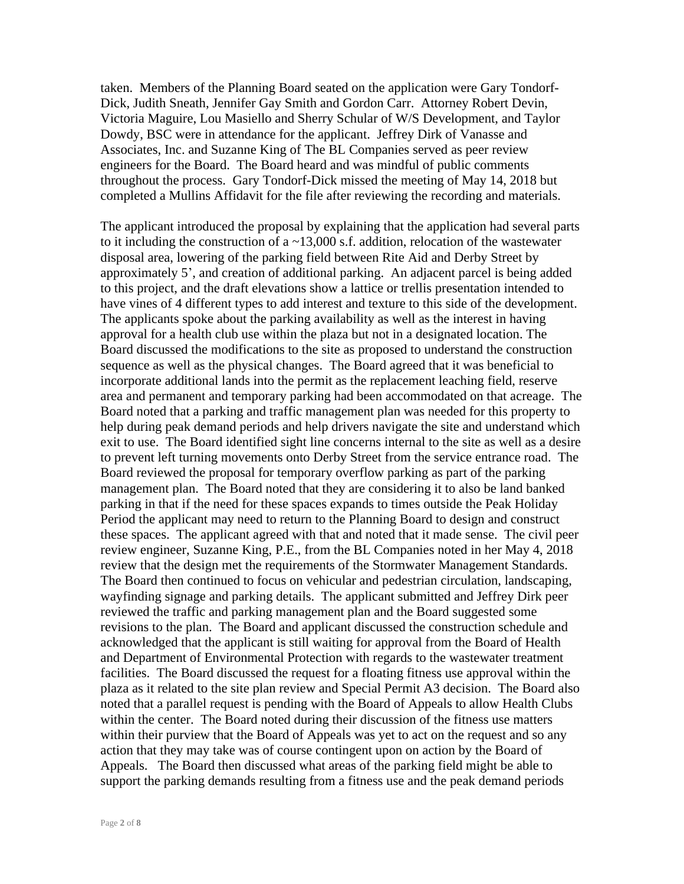taken. Members of the Planning Board seated on the application were Gary Tondorf-Dick, Judith Sneath, Jennifer Gay Smith and Gordon Carr. Attorney Robert Devin, Victoria Maguire, Lou Masiello and Sherry Schular of W/S Development, and Taylor Dowdy, BSC were in attendance for the applicant. Jeffrey Dirk of Vanasse and Associates, Inc. and Suzanne King of The BL Companies served as peer review engineers for the Board. The Board heard and was mindful of public comments throughout the process. Gary Tondorf-Dick missed the meeting of May 14, 2018 but completed a Mullins Affidavit for the file after reviewing the recording and materials.

The applicant introduced the proposal by explaining that the application had several parts to it including the construction of a  $\sim$  13,000 s.f. addition, relocation of the wastewater disposal area, lowering of the parking field between Rite Aid and Derby Street by approximately 5', and creation of additional parking. An adjacent parcel is being added to this project, and the draft elevations show a lattice or trellis presentation intended to have vines of 4 different types to add interest and texture to this side of the development. The applicants spoke about the parking availability as well as the interest in having approval for a health club use within the plaza but not in a designated location. The Board discussed the modifications to the site as proposed to understand the construction sequence as well as the physical changes. The Board agreed that it was beneficial to incorporate additional lands into the permit as the replacement leaching field, reserve area and permanent and temporary parking had been accommodated on that acreage. The Board noted that a parking and traffic management plan was needed for this property to help during peak demand periods and help drivers navigate the site and understand which exit to use. The Board identified sight line concerns internal to the site as well as a desire to prevent left turning movements onto Derby Street from the service entrance road. The Board reviewed the proposal for temporary overflow parking as part of the parking management plan. The Board noted that they are considering it to also be land banked parking in that if the need for these spaces expands to times outside the Peak Holiday Period the applicant may need to return to the Planning Board to design and construct these spaces. The applicant agreed with that and noted that it made sense. The civil peer review engineer, Suzanne King, P.E., from the BL Companies noted in her May 4, 2018 review that the design met the requirements of the Stormwater Management Standards. The Board then continued to focus on vehicular and pedestrian circulation, landscaping, wayfinding signage and parking details. The applicant submitted and Jeffrey Dirk peer reviewed the traffic and parking management plan and the Board suggested some revisions to the plan. The Board and applicant discussed the construction schedule and acknowledged that the applicant is still waiting for approval from the Board of Health and Department of Environmental Protection with regards to the wastewater treatment facilities. The Board discussed the request for a floating fitness use approval within the plaza as it related to the site plan review and Special Permit A3 decision. The Board also noted that a parallel request is pending with the Board of Appeals to allow Health Clubs within the center. The Board noted during their discussion of the fitness use matters within their purview that the Board of Appeals was yet to act on the request and so any action that they may take was of course contingent upon on action by the Board of Appeals. The Board then discussed what areas of the parking field might be able to support the parking demands resulting from a fitness use and the peak demand periods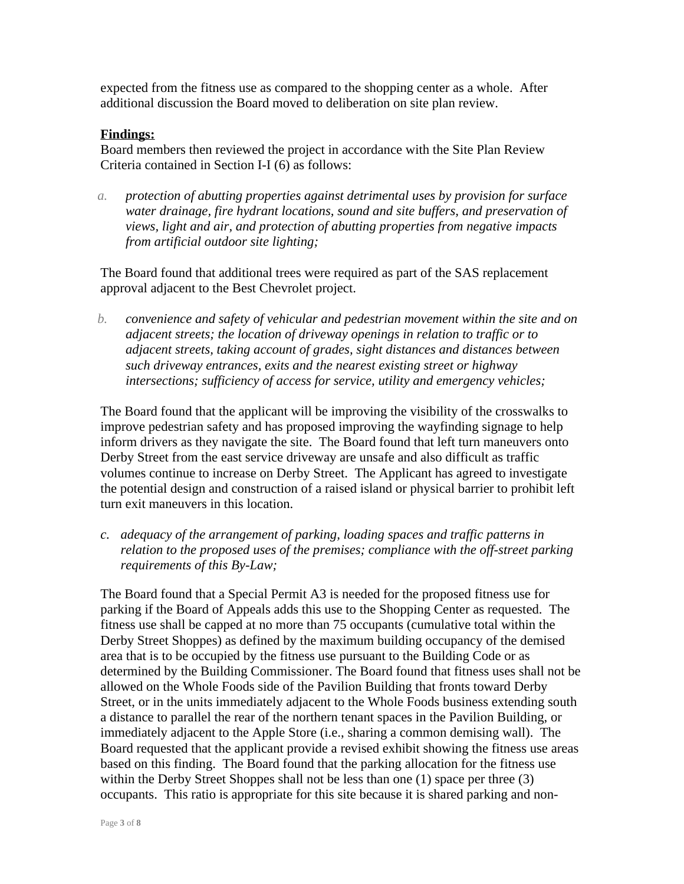expected from the fitness use as compared to the shopping center as a whole. After additional discussion the Board moved to deliberation on site plan review.

### **Findings:**

Board members then reviewed the project in accordance with the Site Plan Review Criteria contained in Section I-I (6) as follows:

*a. protection of abutting properties against detrimental uses by provision for surface water drainage, fire hydrant locations, sound and site buffers, and preservation of views, light and air, and protection of abutting properties from negative impacts from artificial outdoor site lighting;*

The Board found that additional trees were required as part of the SAS replacement approval adjacent to the Best Chevrolet project.

*b. convenience and safety of vehicular and pedestrian movement within the site and on adjacent streets; the location of driveway openings in relation to traffic or to adjacent streets, taking account of grades, sight distances and distances between such driveway entrances, exits and the nearest existing street or highway intersections; sufficiency of access for service, utility and emergency vehicles;*

The Board found that the applicant will be improving the visibility of the crosswalks to improve pedestrian safety and has proposed improving the wayfinding signage to help inform drivers as they navigate the site. The Board found that left turn maneuvers onto Derby Street from the east service driveway are unsafe and also difficult as traffic volumes continue to increase on Derby Street. The Applicant has agreed to investigate the potential design and construction of a raised island or physical barrier to prohibit left turn exit maneuvers in this location.

*c. adequacy of the arrangement of parking, loading spaces and traffic patterns in relation to the proposed uses of the premises; compliance with the off-street parking requirements of this By-Law;*

The Board found that a Special Permit A3 is needed for the proposed fitness use for parking if the Board of Appeals adds this use to the Shopping Center as requested. The fitness use shall be capped at no more than 75 occupants (cumulative total within the Derby Street Shoppes) as defined by the maximum building occupancy of the demised area that is to be occupied by the fitness use pursuant to the Building Code or as determined by the Building Commissioner. The Board found that fitness uses shall not be allowed on the Whole Foods side of the Pavilion Building that fronts toward Derby Street, or in the units immediately adjacent to the Whole Foods business extending south a distance to parallel the rear of the northern tenant spaces in the Pavilion Building, or immediately adjacent to the Apple Store (i.e., sharing a common demising wall). The Board requested that the applicant provide a revised exhibit showing the fitness use areas based on this finding. The Board found that the parking allocation for the fitness use within the Derby Street Shoppes shall not be less than one (1) space per three (3) occupants. This ratio is appropriate for this site because it is shared parking and non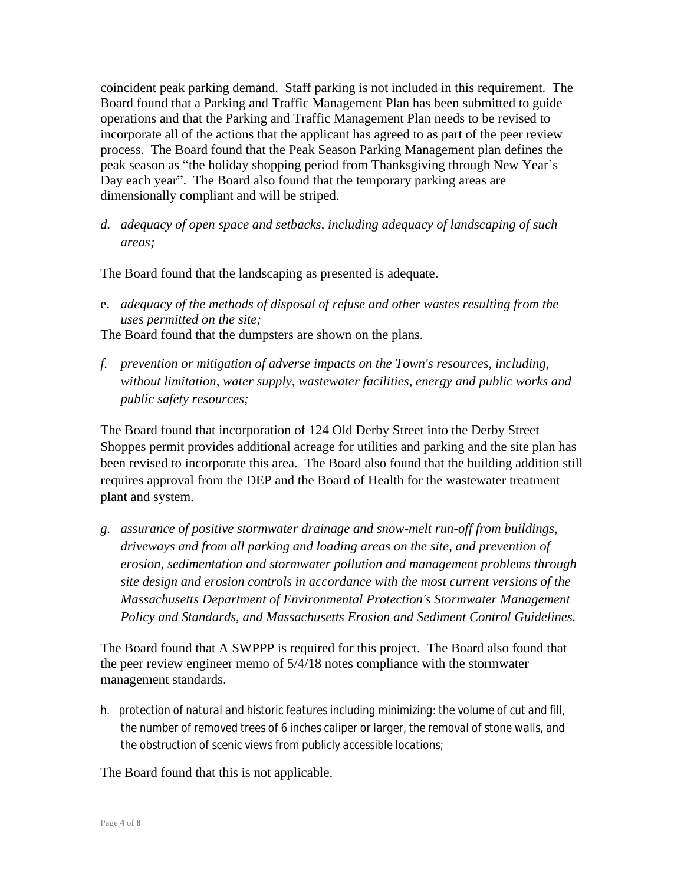coincident peak parking demand. Staff parking is not included in this requirement. The Board found that a Parking and Traffic Management Plan has been submitted to guide operations and that the Parking and Traffic Management Plan needs to be revised to incorporate all of the actions that the applicant has agreed to as part of the peer review process. The Board found that the Peak Season Parking Management plan defines the peak season as "the holiday shopping period from Thanksgiving through New Year's Day each year". The Board also found that the temporary parking areas are dimensionally compliant and will be striped.

*d. adequacy of open space and setbacks, including adequacy of landscaping of such areas;*

The Board found that the landscaping as presented is adequate.

e. *adequacy of the methods of disposal of refuse and other wastes resulting from the uses permitted on the site;*

The Board found that the dumpsters are shown on the plans.

*f. prevention or mitigation of adverse impacts on the Town's resources, including, without limitation, water supply, wastewater facilities, energy and public works and public safety resources;*

The Board found that incorporation of 124 Old Derby Street into the Derby Street Shoppes permit provides additional acreage for utilities and parking and the site plan has been revised to incorporate this area.The Board also found that the building addition still requires approval from the DEP and the Board of Health for the wastewater treatment plant and system.

*g. assurance of positive stormwater drainage and snow-melt run-off from buildings, driveways and from all parking and loading areas on the site, and prevention of erosion, sedimentation and stormwater pollution and management problems through site design and erosion controls in accordance with the most current versions of the Massachusetts Department of Environmental Protection's Stormwater Management Policy and Standards, and Massachusetts Erosion and Sediment Control Guidelines.*

The Board found that A SWPPP is required for this project. The Board also found that the peer review engineer memo of 5/4/18 notes compliance with the stormwater management standards.

*h. protection of natural and historic features including minimizing: the volume of cut and fill, the number of removed trees of 6 inches caliper or larger, the removal of stone walls, and the obstruction of scenic views from publicly accessible locations;*

The Board found that this is not applicable.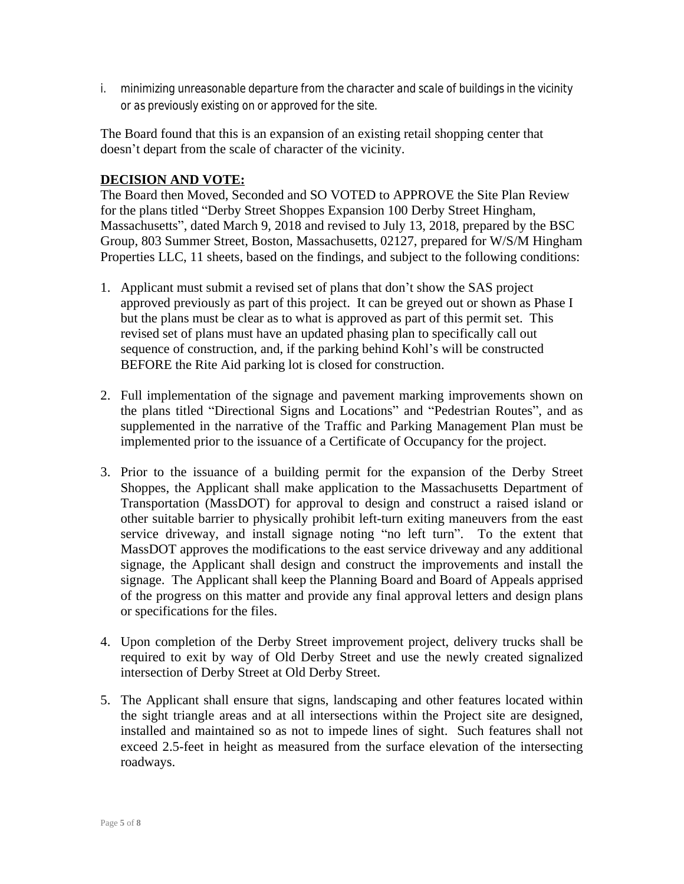*i. minimizing unreasonable departure from the character and scale of buildings in the vicinity or as previously existing on or approved for the site.*

The Board found that this is an expansion of an existing retail shopping center that doesn't depart from the scale of character of the vicinity.

# **DECISION AND VOTE:**

The Board then Moved, Seconded and SO VOTED to APPROVE the Site Plan Review for the plans titled "Derby Street Shoppes Expansion 100 Derby Street Hingham, Massachusetts", dated March 9, 2018 and revised to July 13, 2018, prepared by the BSC Group, 803 Summer Street, Boston, Massachusetts, 02127, prepared for W/S/M Hingham Properties LLC, 11 sheets, based on the findings, and subject to the following conditions:

- 1. Applicant must submit a revised set of plans that don't show the SAS project approved previously as part of this project. It can be greyed out or shown as Phase I but the plans must be clear as to what is approved as part of this permit set. This revised set of plans must have an updated phasing plan to specifically call out sequence of construction, and, if the parking behind Kohl's will be constructed BEFORE the Rite Aid parking lot is closed for construction.
- 2. Full implementation of the signage and pavement marking improvements shown on the plans titled "Directional Signs and Locations" and "Pedestrian Routes", and as supplemented in the narrative of the Traffic and Parking Management Plan must be implemented prior to the issuance of a Certificate of Occupancy for the project.
- 3. Prior to the issuance of a building permit for the expansion of the Derby Street Shoppes, the Applicant shall make application to the Massachusetts Department of Transportation (MassDOT) for approval to design and construct a raised island or other suitable barrier to physically prohibit left-turn exiting maneuvers from the east service driveway, and install signage noting "no left turn". To the extent that MassDOT approves the modifications to the east service driveway and any additional signage, the Applicant shall design and construct the improvements and install the signage. The Applicant shall keep the Planning Board and Board of Appeals apprised of the progress on this matter and provide any final approval letters and design plans or specifications for the files.
- 4. Upon completion of the Derby Street improvement project, delivery trucks shall be required to exit by way of Old Derby Street and use the newly created signalized intersection of Derby Street at Old Derby Street.
- 5. The Applicant shall ensure that signs, landscaping and other features located within the sight triangle areas and at all intersections within the Project site are designed, installed and maintained so as not to impede lines of sight. Such features shall not exceed 2.5-feet in height as measured from the surface elevation of the intersecting roadways.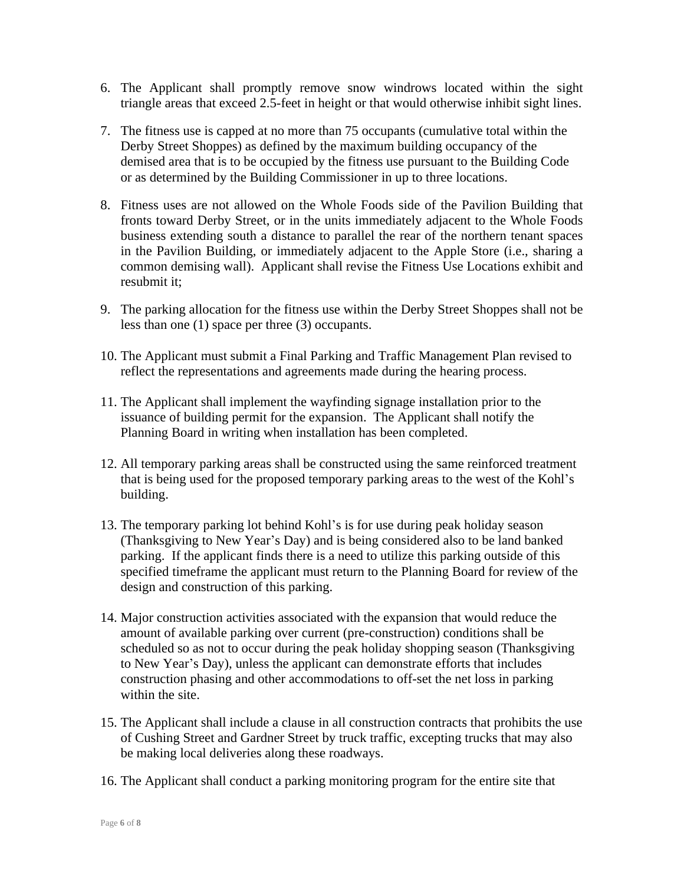- 6. The Applicant shall promptly remove snow windrows located within the sight triangle areas that exceed 2.5-feet in height or that would otherwise inhibit sight lines.
- 7. The fitness use is capped at no more than 75 occupants (cumulative total within the Derby Street Shoppes) as defined by the maximum building occupancy of the demised area that is to be occupied by the fitness use pursuant to the Building Code or as determined by the Building Commissioner in up to three locations.
- 8. Fitness uses are not allowed on the Whole Foods side of the Pavilion Building that fronts toward Derby Street, or in the units immediately adjacent to the Whole Foods business extending south a distance to parallel the rear of the northern tenant spaces in the Pavilion Building, or immediately adjacent to the Apple Store (i.e., sharing a common demising wall). Applicant shall revise the Fitness Use Locations exhibit and resubmit it;
- 9. The parking allocation for the fitness use within the Derby Street Shoppes shall not be less than one (1) space per three (3) occupants.
- 10. The Applicant must submit a Final Parking and Traffic Management Plan revised to reflect the representations and agreements made during the hearing process.
- 11. The Applicant shall implement the wayfinding signage installation prior to the issuance of building permit for the expansion. The Applicant shall notify the Planning Board in writing when installation has been completed.
- 12. All temporary parking areas shall be constructed using the same reinforced treatment that is being used for the proposed temporary parking areas to the west of the Kohl's building.
- 13. The temporary parking lot behind Kohl's is for use during peak holiday season (Thanksgiving to New Year's Day) and is being considered also to be land banked parking. If the applicant finds there is a need to utilize this parking outside of this specified timeframe the applicant must return to the Planning Board for review of the design and construction of this parking.
- 14. Major construction activities associated with the expansion that would reduce the amount of available parking over current (pre-construction) conditions shall be scheduled so as not to occur during the peak holiday shopping season (Thanksgiving to New Year's Day), unless the applicant can demonstrate efforts that includes construction phasing and other accommodations to off-set the net loss in parking within the site.
- 15. The Applicant shall include a clause in all construction contracts that prohibits the use of Cushing Street and Gardner Street by truck traffic, excepting trucks that may also be making local deliveries along these roadways.
- 16. The Applicant shall conduct a parking monitoring program for the entire site that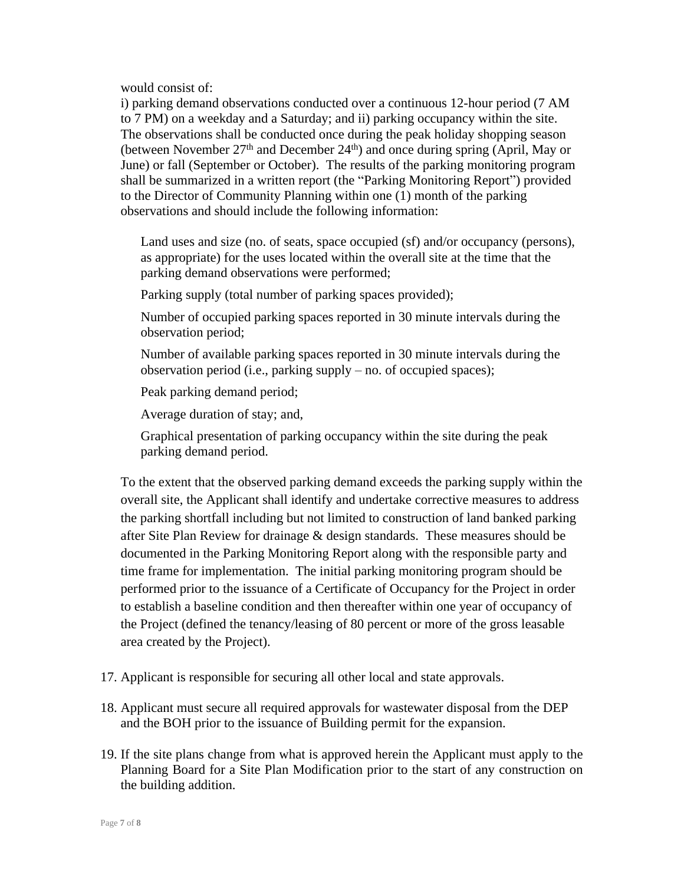would consist of:

i) parking demand observations conducted over a continuous 12-hour period (7 AM to 7 PM) on a weekday and a Saturday; and ii) parking occupancy within the site. The observations shall be conducted once during the peak holiday shopping season (between November  $27<sup>th</sup>$  and December  $24<sup>th</sup>$ ) and once during spring (April, May or June) or fall (September or October). The results of the parking monitoring program shall be summarized in a written report (the "Parking Monitoring Report") provided to the Director of Community Planning within one (1) month of the parking observations and should include the following information:

Land uses and size (no. of seats, space occupied (sf) and/or occupancy (persons), as appropriate) for the uses located within the overall site at the time that the parking demand observations were performed;

Parking supply (total number of parking spaces provided);

Number of occupied parking spaces reported in 30 minute intervals during the observation period;

Number of available parking spaces reported in 30 minute intervals during the observation period (i.e., parking supply – no. of occupied spaces);

Peak parking demand period;

Average duration of stay; and,

Graphical presentation of parking occupancy within the site during the peak parking demand period.

To the extent that the observed parking demand exceeds the parking supply within the overall site, the Applicant shall identify and undertake corrective measures to address the parking shortfall including but not limited to construction of land banked parking after Site Plan Review for drainage & design standards. These measures should be documented in the Parking Monitoring Report along with the responsible party and time frame for implementation. The initial parking monitoring program should be performed prior to the issuance of a Certificate of Occupancy for the Project in order to establish a baseline condition and then thereafter within one year of occupancy of the Project (defined the tenancy/leasing of 80 percent or more of the gross leasable area created by the Project).

- 17. Applicant is responsible for securing all other local and state approvals.
- 18. Applicant must secure all required approvals for wastewater disposal from the DEP and the BOH prior to the issuance of Building permit for the expansion.
- 19. If the site plans change from what is approved herein the Applicant must apply to the Planning Board for a Site Plan Modification prior to the start of any construction on the building addition.